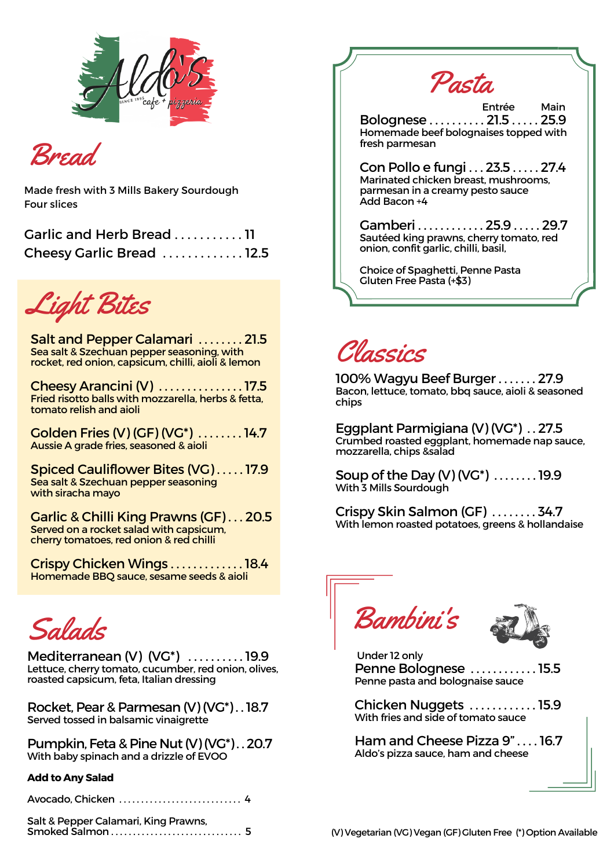

Bread

Made fresh with 3 Mills Bakery Sourdough Four slices

| Garlic and Herb Bread  11 |  |
|---------------------------|--|
| Cheesy Garlic Bread 12.5  |  |

Light Bites

Salt and Pepper Calamari . . . . . . . . 21.5 Sea salt & Szechuan pepper seasoning, with rocket, red onion, capsicum, chilli, aioli & lemon

Cheesy Arancini (V) . . . . . . . . . . . . . . . 17.5 Fried risotto balls with mozzarella, herbs & fetta, tomato relish and aioli

Golden Fries (V) (GF) (VG\*) . . . . . . . . 14.7 Aussie A grade fries, seasoned & aioli

Spiced Cauliflower Bites (VG) . . . . . 17.9 Sea salt & Szechuan pepper seasoning with siracha mayo

Garlic & Chilli King Prawns (GF) . . . 20.5 Served on a rocket salad with capsicum, cherry tomatoes, red onion & red chilli

Crispy Chicken Wings . . . . . . . . . . . . . 18.4 Homemade BBQ sauce, sesame seeds & aioli

Salads

Mediterranean (V) (VG\*) . . . . . . . . . . 19.9 Lettuce, cherry tomato, cucumber, red onion, olives, roasted capsicum, feta, Italian dressing

Rocket, Pear & Parmesan (V) (VG\*) . .18.7 Served tossed in balsamic vinaigrette

Pumpkin, Feta & Pine Nut (V)(VG\*).. 20.7 With baby spinach and a drizzle of EVOO

## **Add to Any Salad**

| Avocado, Chicken  4 |
|---------------------|
|                     |

Salt & Pepper Calamari, King Prawns, Smoked Salmon . . . . . . . . . . . . . . . . . . . . . . . . . . . . . . 5



## Classics

100% Wagyu Beef Burger . . . . . . . 27.9 Bacon, lettuce, tomato, bbq sauce, aioli & seasoned chips

Eggplant Parmigiana (V) (VG\*) . . 27.5 Crumbed roasted eggplant, homemade nap sauce, mozzarella, chips &salad

Soup of the Day (V) (VG\*) . . . . . . . . 19.9 With 3 Mills Sourdough

Crispy Skin Salmon (GF) . . . . . . . . 34.7 With lemon roasted potatoes, greens & hollandaise





Under 12 only Penne Bolognese . . . . . . . . . . . . 15.5 Penne pasta and bolognaise sauce

Chicken Nuggets . . . . . . . . . . . . 15.9 With fries and side of tomato sauce

Ham and Cheese Pizza 9" . . . . 16.7 Aldo's pizza sauce, ham and cheese